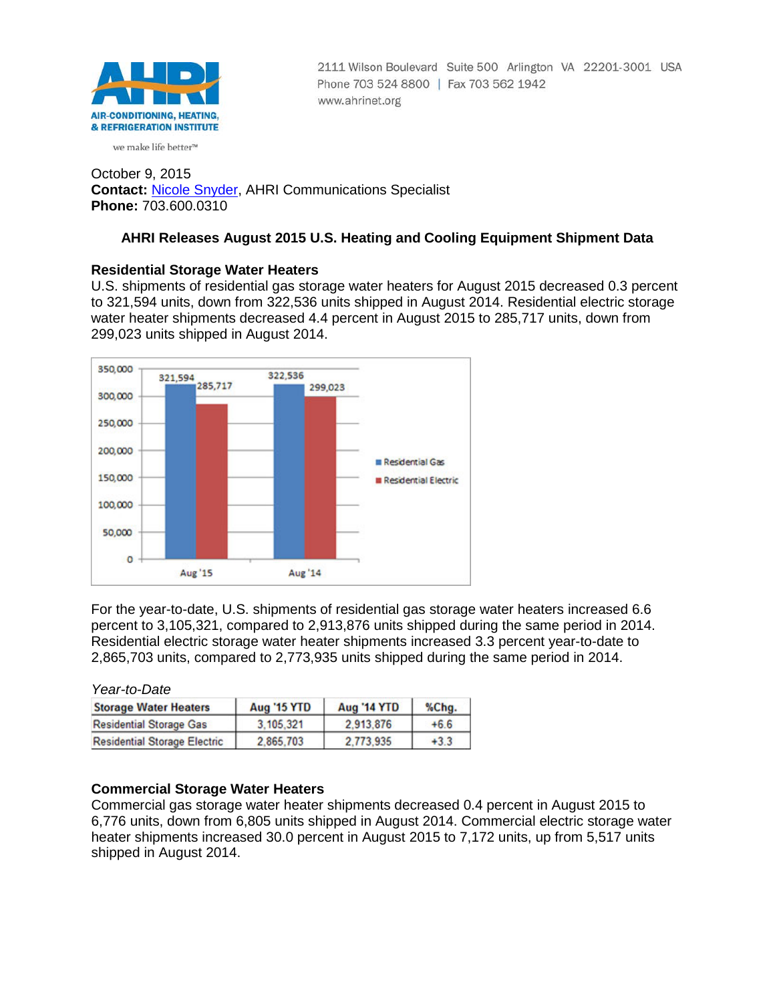

2111 Wilson Boulevard Suite 500 Arlington VA 22201-3001 USA Phone 703 524 8800 | Fax 703 562 1942 www.ahrinet.org

#### we make life better<sup>™</sup>

October 9, 2015 **Contact:** [Nicole Snyder,](mailto:nsnyder@ahrinet.org) AHRI Communications Specialist **Phone:** 703.600.0310

# **AHRI Releases August 2015 U.S. Heating and Cooling Equipment Shipment Data**

# **Residential Storage Water Heaters**

U.S. shipments of residential gas storage water heaters for August 2015 decreased 0.3 percent to 321,594 units, down from 322,536 units shipped in August 2014. Residential electric storage water heater shipments decreased 4.4 percent in August 2015 to 285,717 units, down from 299,023 units shipped in August 2014.



For the year-to-date, U.S. shipments of residential gas storage water heaters increased 6.6 percent to 3,105,321, compared to 2,913,876 units shipped during the same period in 2014. Residential electric storage water heater shipments increased 3.3 percent year-to-date to 2,865,703 units, compared to 2,773,935 units shipped during the same period in 2014.

*Year-to-Date*

| <b>Storage Water Heaters</b>        | <b>Aug '15 YTD</b> | <b>Aug '14 YTD</b> | %Chg.  |  |
|-------------------------------------|--------------------|--------------------|--------|--|
| <b>Residential Storage Gas</b>      | 3.105.321          | 2.913.876          | $+6.6$ |  |
| <b>Residential Storage Electric</b> | 2.865.703          | 2.773.935          | $+3.3$ |  |

### **Commercial Storage Water Heaters**

Commercial gas storage water heater shipments decreased 0.4 percent in August 2015 to 6,776 units, down from 6,805 units shipped in August 2014. Commercial electric storage water heater shipments increased 30.0 percent in August 2015 to 7,172 units, up from 5,517 units shipped in August 2014.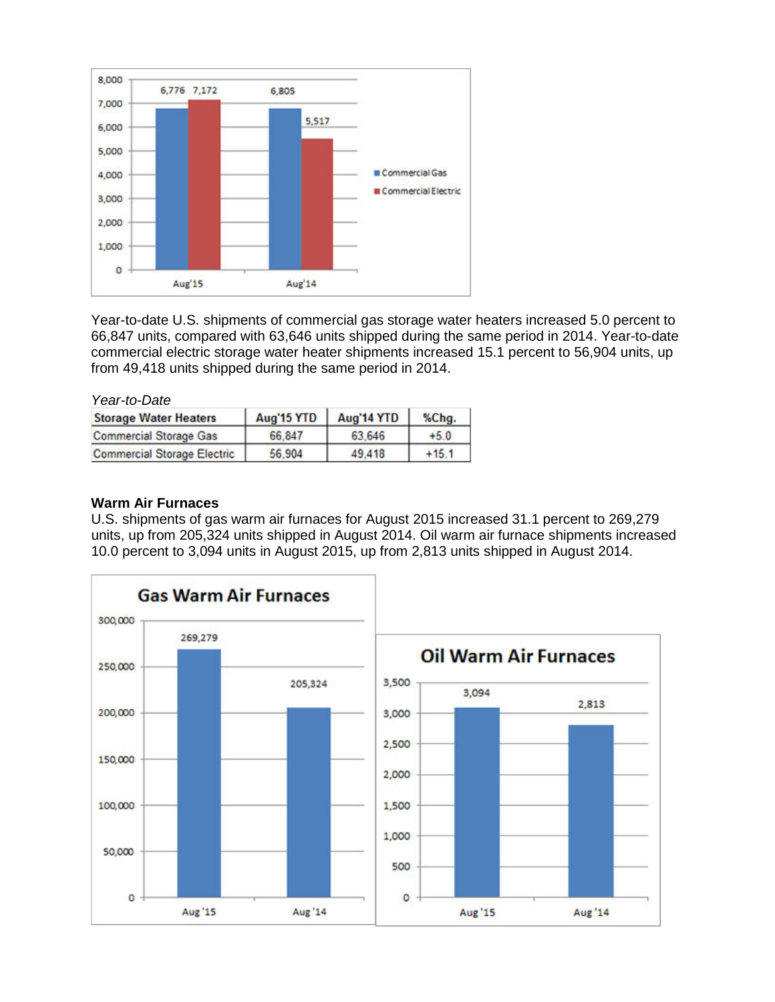

Year-to-date U.S. shipments of commercial gas storage water heaters increased 5.0 percent to 66,847 units, compared with 63,646 units shipped during the same period in 2014. Year-to-date commercial electric storage water heater shipments increased 15.1 percent to 56,904 units, up from 49,418 units shipped during the same period in 2014.

| Year-to-Date                       |            |            |       |
|------------------------------------|------------|------------|-------|
| <b>Storage Water Heaters</b>       | Aug'15 YTD | Aug'14 YTD | %Ch   |
| <b>Commercial Storage Gas</b>      | 66.847     | 63.646     | $+5.$ |
| <b>Commercial Storage Electric</b> | 56,904     | 49,418     | 15.   |

## **Warm Air Furnaces**

U.S. shipments of gas warm air furnaces for August 2015 increased 31.1 percent to 269,279 units, up from 205,324 units shipped in August 2014. Oil warm air furnace shipments increased 10.0 percent to 3,094 units in August 2015, up from 2,813 units shipped in August 2014.

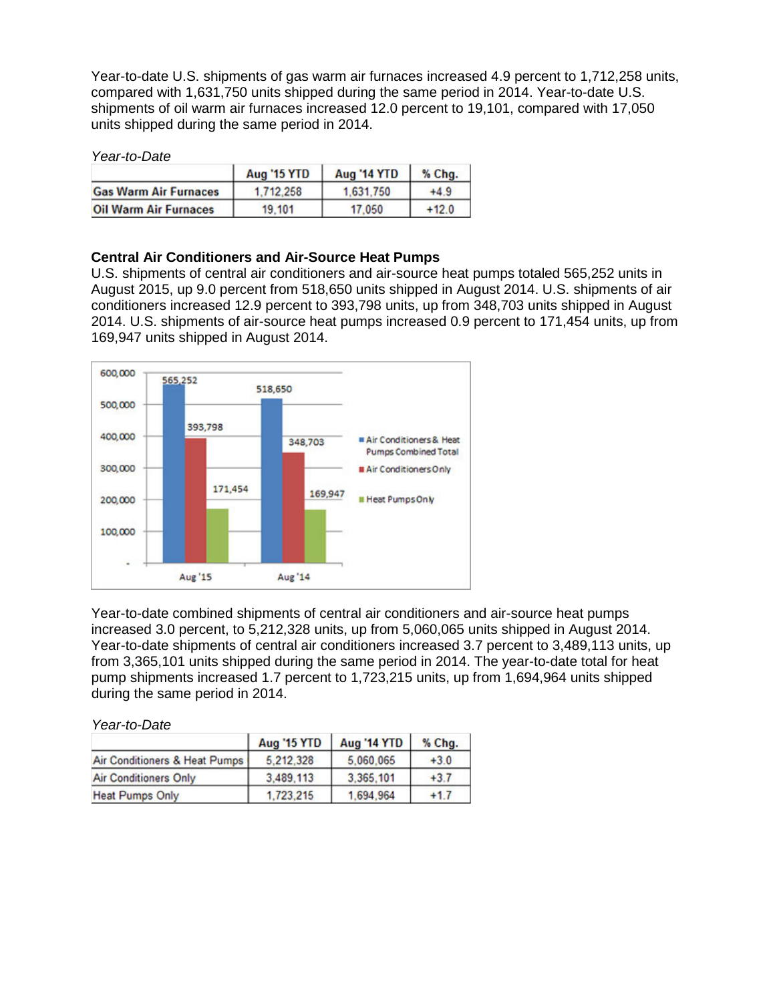Year-to-date U.S. shipments of gas warm air furnaces increased 4.9 percent to 1,712,258 units, compared with 1,631,750 units shipped during the same period in 2014. Year-to-date U.S. shipments of oil warm air furnaces increased 12.0 percent to 19,101, compared with 17,050 units shipped during the same period in 2014.

#### *Year-to-Date*

|                              | <b>Aug '15 YTD</b> | <b>Aug '14 YTD</b> | % Chg.  |
|------------------------------|--------------------|--------------------|---------|
| <b>Gas Warm Air Furnaces</b> | 1.712.258          | 1.631.750          | $+4.9$  |
| <b>Oil Warm Air Furnaces</b> | 19,101             | 17.050             | $+12.0$ |

## **Central Air Conditioners and Air-Source Heat Pumps**

U.S. shipments of central air conditioners and air-source heat pumps totaled 565,252 units in August 2015, up 9.0 percent from 518,650 units shipped in August 2014. U.S. shipments of air conditioners increased 12.9 percent to 393,798 units, up from 348,703 units shipped in August 2014. U.S. shipments of air-source heat pumps increased 0.9 percent to 171,454 units, up from 169,947 units shipped in August 2014.



Year-to-date combined shipments of central air conditioners and air-source heat pumps increased 3.0 percent, to 5,212,328 units, up from 5,060,065 units shipped in August 2014. Year-to-date shipments of central air conditioners increased 3.7 percent to 3,489,113 units, up from 3,365,101 units shipped during the same period in 2014. The year-to-date total for heat pump shipments increased 1.7 percent to 1,723,215 units, up from 1,694,964 units shipped during the same period in 2014.

*Year-to-Date*

|                               | <b>Aug '15 YTD</b> | Aug '14 YTD | % Chg. |
|-------------------------------|--------------------|-------------|--------|
| Air Conditioners & Heat Pumps | 5.212.328          | 5,060,065   | $+3.0$ |
| <b>Air Conditioners Only</b>  | 3,489,113          | 3,365,101   | $+3.7$ |
| <b>Heat Pumps Only</b>        | 1,723,215          | 1.694.964   | $+1.7$ |